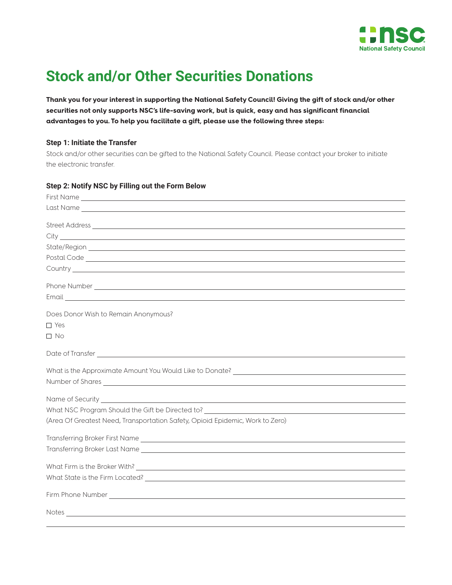

## **Stock and/or Other Securities Donations**

**Thank you for your interest in supporting the National Safety Council! Giving the gift of stock and/or other securities not only supports NSC's life-saving work, but is quick, easy and has significant financial advantages to you. To help you facilitate a gift, please use the following three steps:**

## **Step 1: Initiate the Transfer**

Stock and/or other securities can be gifted to the National Safety Council. Please contact your broker to initiate the electronic transfer.

| Step 2: Notify NSC by Filling out the Form Below                                                                                                                                                                                     |
|--------------------------------------------------------------------------------------------------------------------------------------------------------------------------------------------------------------------------------------|
|                                                                                                                                                                                                                                      |
|                                                                                                                                                                                                                                      |
|                                                                                                                                                                                                                                      |
|                                                                                                                                                                                                                                      |
|                                                                                                                                                                                                                                      |
|                                                                                                                                                                                                                                      |
|                                                                                                                                                                                                                                      |
| Phone Number Lawrence and the contract of the contract of the contract of the contract of the contract of the contract of the contract of the contract of the contract of the contract of the contract of the contract of the        |
| Email <b>Executive Contract Contract Contract Contract Contract Contract Contract Contract Contract Contract Contract Contract Contract Contract Contract Contract Contract Contract Contract Contract Contract Contract Contrac</b> |
| Does Donor Wish to Remain Anonymous?                                                                                                                                                                                                 |
| $\Box$ Yes                                                                                                                                                                                                                           |
| $\square$ No                                                                                                                                                                                                                         |
|                                                                                                                                                                                                                                      |
|                                                                                                                                                                                                                                      |
|                                                                                                                                                                                                                                      |
|                                                                                                                                                                                                                                      |
| What NSC Program Should the Gift be Directed to?                                                                                                                                                                                     |
| (Area Of Greatest Need, Transportation Safety, Opioid Epidemic, Work to Zero)                                                                                                                                                        |
|                                                                                                                                                                                                                                      |
|                                                                                                                                                                                                                                      |
|                                                                                                                                                                                                                                      |
|                                                                                                                                                                                                                                      |
|                                                                                                                                                                                                                                      |
|                                                                                                                                                                                                                                      |
|                                                                                                                                                                                                                                      |

## **Step 2: Notify NSC by Filling out the Form Below**